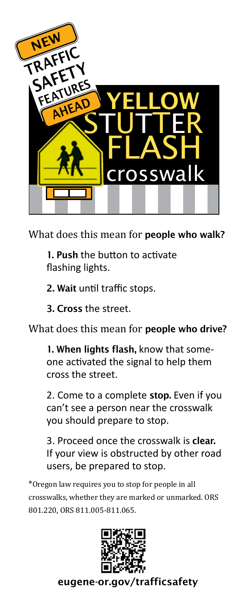

What does this mean for people who walk?

1. Push the button to activate flashing lights.

2. Wait until traffic stops.

3. Cross the street.

What does this mean for **people who drive?** 

1. When lights flash, know that someone activated the signal to help them cross the street.

2. Come to a complete stop. Even if you can't see a person near the crosswalk you should prepare to stop.

3. Proceed once the crosswalk is clear. If your view is obstructed by other road users, be prepared to stop.

\*Oregon law requires you to stop for people in all crosswalks, whether they are marked or unmarked. ORS 801.220, ORS 811.005-811.065.



[eugene-or.gov/trafficsafety](http://www.eugene-or.gov/trafficsafety)